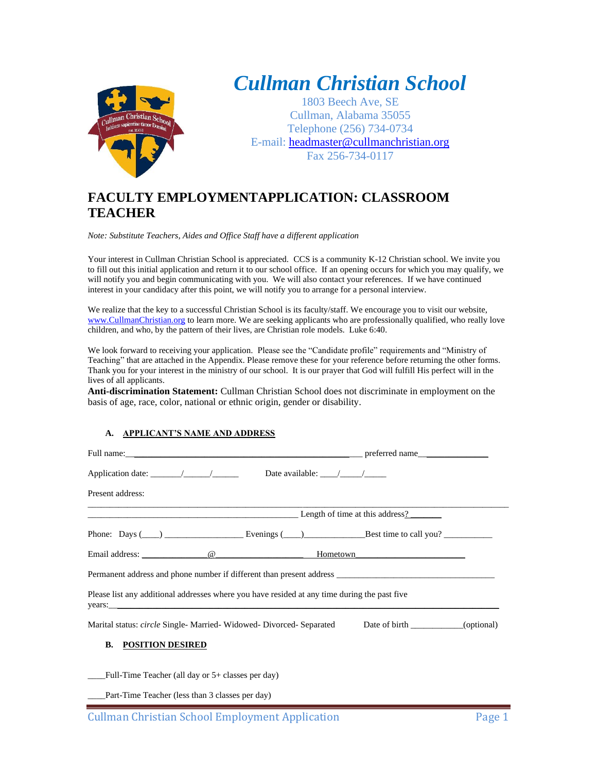

# *Cullman Christian School*

1803 Beech Ave, SE Cullman, Alabama 35055 Telephone (256) 734-0734 E-mail: [headmaster@cullmanchristian.org](mailto:headmaster@cullmanchristian.org) Fax 256-734-0117

# **FACULTY EMPLOYMENTAPPLICATION: CLASSROOM TEACHER**

*Note: Substitute Teachers, Aides and Office Staff have a different application*

Your interest in Cullman Christian School is appreciated. CCS is a community K-12 Christian school. We invite you to fill out this initial application and return it to our school office. If an opening occurs for which you may qualify, we will notify you and begin communicating with you. We will also contact your references. If we have continued interest in your candidacy after this point, we will notify you to arrange for a personal interview.

We realize that the key to a successful Christian School is its faculty/staff. We encourage you to visit our website, [www.CullmanChristian.org](http://www.cullmanchristian.org/) to learn more. We are seeking applicants who are professionally qualified, who really love children, and who, by the pattern of their lives, are Christian role models. Luke 6:40.

We look forward to receiving your application. Please see the "Candidate profile" requirements and "Ministry of Teaching" that are attached in the Appendix. Please remove these for your reference before returning the other forms. Thank you for your interest in the ministry of our school. It is our prayer that God will fulfill His perfect will in the lives of all applicants.

**Anti-discrimination Statement:** Cullman Christian School does not discriminate in employment on the basis of age, race, color, national or ethnic origin, gender or disability.

### **A. APPLICANT'S NAME AND ADDRESS**

| Application date: $\angle$ / $\angle$ Date available: / /                                                             |                          |  |  |  |
|-----------------------------------------------------------------------------------------------------------------------|--------------------------|--|--|--|
| Present address:                                                                                                      |                          |  |  |  |
| <b>Example 2</b> Length of time at this address?                                                                      |                          |  |  |  |
| Phone: Days $(\_\_\_\_\_\_\_\_\_\_\_\$ Evenings $(\_\_\_\_\_\_\_\_\$ Best time to call you? $\_\_\_\_\_\_\_\_\_\_\_\$ |                          |  |  |  |
| Email address: $\qquad \qquad \textcircled{e}$ Hometown                                                               |                          |  |  |  |
| Permanent address and phone number if different than present address _______________________________                  |                          |  |  |  |
| Please list any additional addresses where you have resided at any time during the past five<br>years:                |                          |  |  |  |
| Marital status: <i>circle</i> Single- Married- Widowed- Divorced- Separated                                           | Date of birth (optional) |  |  |  |
| <b>POSITION DESIRED</b><br>В.                                                                                         |                          |  |  |  |
| Full-Time Teacher (all day or $5+$ classes per day)                                                                   |                          |  |  |  |

Part-Time Teacher (less than 3 classes per day)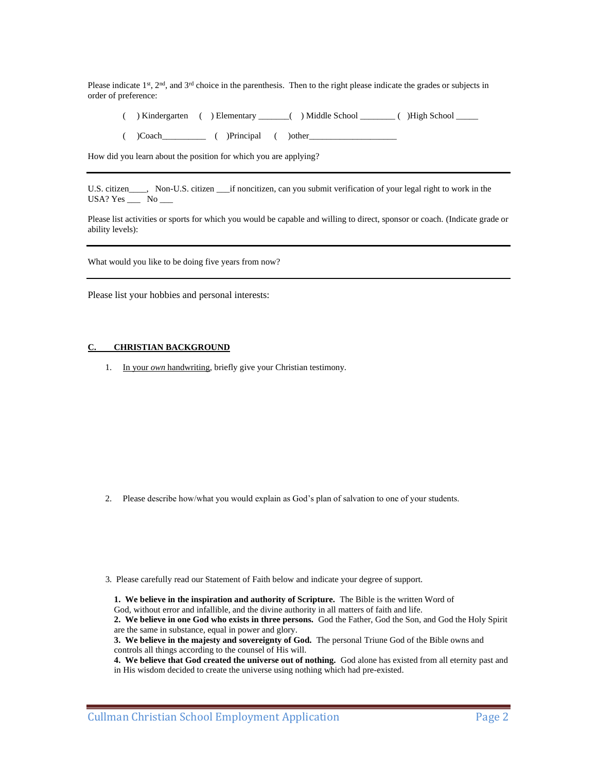Please indicate  $1<sup>st</sup>$ ,  $2<sup>nd</sup>$ , and  $3<sup>rd</sup>$  choice in the parenthesis. Then to the right please indicate the grades or subjects in order of preference:

- ( ) Kindergarten ( ) Elementary \_\_\_\_\_\_\_( ) Middle School \_\_\_\_\_\_\_\_ ( )High School \_\_\_\_\_
- $($   $)$ Coach  $($   $)$ Principal  $($   $)$ other

How did you learn about the position for which you are applying?

U.S. citizen \_\_\_, Non-U.S. citizen \_\_\_if noncitizen, can you submit verification of your legal right to work in the USA? Yes  $\_\_\_\$  No  $\_\_\_\$ 

Please list activities or sports for which you would be capable and willing to direct, sponsor or coach. (Indicate grade or ability levels):

What would you like to be doing five years from now?

Please list your hobbies and personal interests:

#### **C. CHRISTIAN BACKGROUND**

1. In your *own* handwriting, briefly give your Christian testimony.

- 2. Please describe how/what you would explain as God's plan of salvation to one of your students.
- 3. Please carefully read our Statement of Faith below and indicate your degree of support.

**1. We believe in the inspiration and authority of Scripture.** The Bible is the written Word of God, without error and infallible, and the divine authority in all matters of faith and life. **2. We believe in one God who exists in three persons.** God the Father, God the Son, and God the Holy Spirit

are the same in substance, equal in power and glory.

**<sup>3.</sup> We believe in the majesty and sovereignty of God.** The personal Triune God of the Bible owns and controls all things according to the counsel of His will.

**<sup>4.</sup> We believe that God created the universe out of nothing.** God alone has existed from all eternity past and in His wisdom decided to create the universe using nothing which had pre-existed.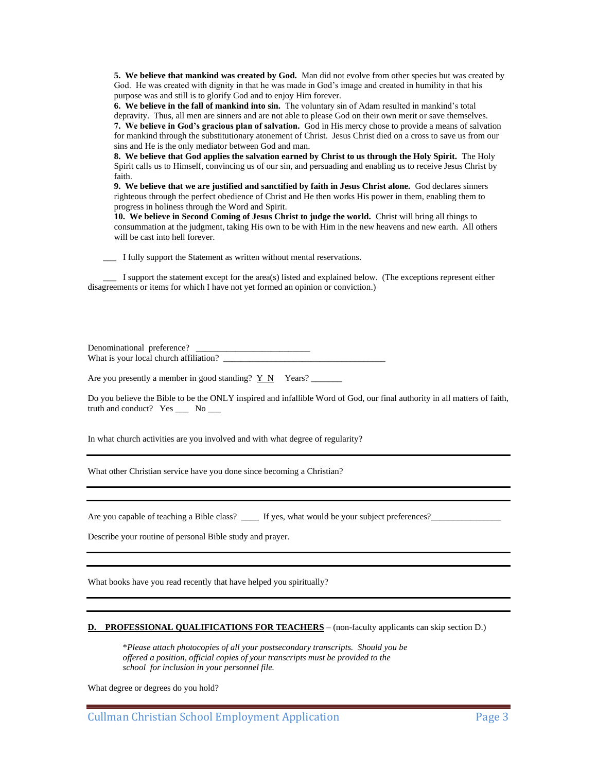**5. We believe that mankind was created by God.** Man did not evolve from other species but was created by God. He was created with dignity in that he was made in God's image and created in humility in that his purpose was and still is to glorify God and to enjoy Him forever.

**6. We believe in the fall of mankind into sin.** The voluntary sin of Adam resulted in mankind's total depravity. Thus, all men are sinners and are not able to please God on their own merit or save themselves. **7. We believe in God's gracious plan of salvation.** God in His mercy chose to provide a means of salvation for mankind through the substitutionary atonement of Christ. Jesus Christ died on a cross to save us from our sins and He is the only mediator between God and man.

**8. We believe that God applies the salvation earned by Christ to us through the Holy Spirit.** The Holy Spirit calls us to Himself, convincing us of our sin, and persuading and enabling us to receive Jesus Christ by faith.

**9. We believe that we are justified and sanctified by faith in Jesus Christ alone.** God declares sinners righteous through the perfect obedience of Christ and He then works His power in them, enabling them to progress in holiness through the Word and Spirit.

**10. We believe in Second Coming of Jesus Christ to judge the world.** Christ will bring all things to consummation at the judgment, taking His own to be with Him in the new heavens and new earth. All others will be cast into hell forever.

\_\_\_ I fully support the Statement as written without mental reservations.

 \_\_\_ I support the statement except for the area(s) listed and explained below. (The exceptions represent either disagreements or items for which I have not yet formed an opinion or conviction.)

Denominational preference? What is your local church affiliation? \_\_\_\_\_\_\_\_\_\_\_\_\_\_\_\_\_\_\_\_\_\_\_\_\_\_\_\_\_\_\_\_\_\_\_\_\_

Are you presently a member in good standing?  $Y \ N$  Years?

Do you believe the Bible to be the ONLY inspired and infallible Word of God, our final authority in all matters of faith, truth and conduct? Yes \_\_\_ No \_\_\_

In what church activities are you involved and with what degree of regularity?

What other Christian service have you done since becoming a Christian?

Are you capable of teaching a Bible class?  $\Box$  If yes, what would be your subject preferences?

Describe your routine of personal Bible study and prayer.

What books have you read recently that have helped you spiritually?

#### **D. PROFESSIONAL QUALIFICATIONS FOR TEACHERS** – (non-faculty applicants can skip section D.)

 \**Please attach photocopies of all your postsecondary transcripts. Should you be offered a position, official copies of your transcripts must be provided to the school for inclusion in your personnel file.*

What degree or degrees do you hold?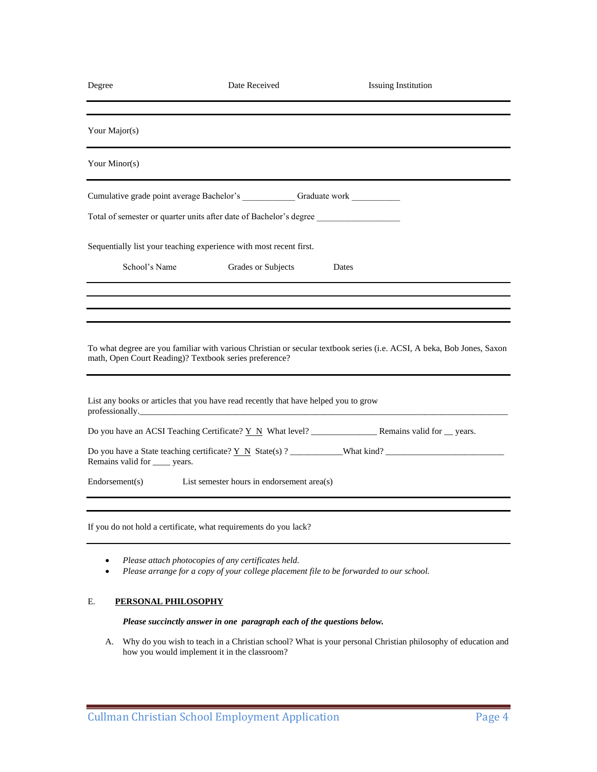| Degree                         | Date Received                                                                                          | <b>Issuing Institution</b>                                                                                             |
|--------------------------------|--------------------------------------------------------------------------------------------------------|------------------------------------------------------------------------------------------------------------------------|
|                                |                                                                                                        |                                                                                                                        |
| Your Major(s)                  |                                                                                                        |                                                                                                                        |
| Your Minor(s)                  |                                                                                                        |                                                                                                                        |
|                                | Cumulative grade point average Bachelor's _____________ Graduate work __________                       |                                                                                                                        |
|                                | Total of semester or quarter units after date of Bachelor's degree                                     |                                                                                                                        |
|                                | Sequentially list your teaching experience with most recent first.                                     |                                                                                                                        |
| School's Name                  | Grades or Subjects                                                                                     | Dates                                                                                                                  |
|                                |                                                                                                        |                                                                                                                        |
|                                |                                                                                                        |                                                                                                                        |
|                                | math, Open Court Reading)? Textbook series preference?                                                 | To what degree are you familiar with various Christian or secular textbook series (i.e. ACSI, A beka, Bob Jones, Saxon |
|                                | List any books or articles that you have read recently that have helped you to grow<br>professionally. |                                                                                                                        |
|                                |                                                                                                        |                                                                                                                        |
| Remains valid for _____ years. |                                                                                                        |                                                                                                                        |
| Endorsement(s)                 | List semester hours in endorsement area(s)                                                             |                                                                                                                        |
|                                |                                                                                                        |                                                                                                                        |
|                                | If you do not hold a certificate, what requirements do you lack?                                       |                                                                                                                        |
|                                |                                                                                                        |                                                                                                                        |

- *Please attach photocopies of any certificates held.*
- *Please arrange for a copy of your college placement file to be forwarded to our school.*

# E. **PERSONAL PHILOSOPHY**

### *Please succinctly answer in one paragraph each of the questions below.*

A. Why do you wish to teach in a Christian school? What is your personal Christian philosophy of education and how you would implement it in the classroom?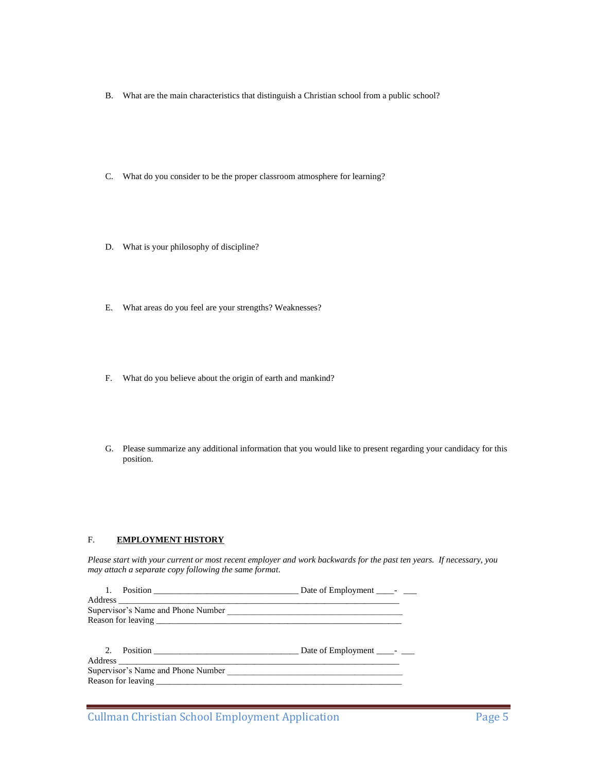- B. What are the main characteristics that distinguish a Christian school from a public school?
- C. What do you consider to be the proper classroom atmosphere for learning?
- D. What is your philosophy of discipline?
- E. What areas do you feel are your strengths? Weaknesses?
- F. What do you believe about the origin of earth and mankind?
- G. Please summarize any additional information that you would like to present regarding your candidacy for this position.

#### F. **EMPLOYMENT HISTORY**

*Please start with your current or most recent employer and work backwards for the past ten years. If necessary, you may attach a separate copy following the same format.*

| Supervisor's Name and Phone Number |  |
|------------------------------------|--|
|                                    |  |
|                                    |  |
|                                    |  |
|                                    |  |
|                                    |  |
|                                    |  |
|                                    |  |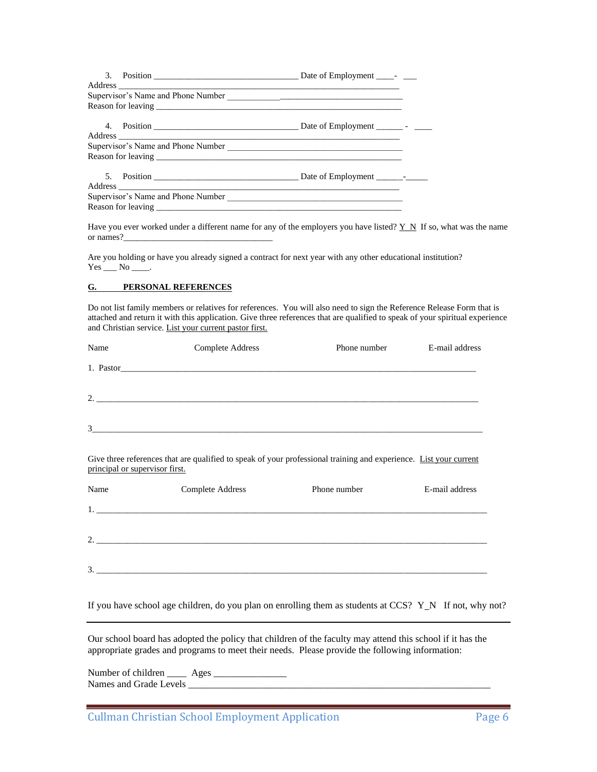Have you ever worked under a different name for any of the employers you have listed? Y N If so, what was the name or names?

Are you holding or have you already signed a contract for next year with any other educational institution?  $Yes \_\_ No \_\_$ .

#### **G. PERSONAL REFERENCES**

Do not list family members or relatives for references. You will also need to sign the Reference Release Form that is attached and return it with this application. Give three references that are qualified to speak of your spiritual experience and Christian service. List your current pastor first.

| Name                           | Complete Address                                                                                                  | Phone number | E-mail address |
|--------------------------------|-------------------------------------------------------------------------------------------------------------------|--------------|----------------|
|                                |                                                                                                                   |              |                |
|                                |                                                                                                                   |              |                |
|                                |                                                                                                                   |              |                |
| principal or supervisor first. | Give three references that are qualified to speak of your professional training and experience. List your current |              |                |
| Name                           | Complete Address                                                                                                  | Phone number | E-mail address |
|                                |                                                                                                                   |              |                |
|                                |                                                                                                                   |              |                |
|                                |                                                                                                                   |              |                |

If you have school age children, do you plan on enrolling them as students at CCS?  $Y_N$  If not, why not?

Our school board has adopted the policy that children of the faculty may attend this school if it has the appropriate grades and programs to meet their needs. Please provide the following information:

3. \_\_\_\_\_\_\_\_\_\_\_\_\_\_\_\_\_\_\_\_\_\_\_\_\_\_\_\_\_\_\_\_\_\_\_\_\_\_\_\_\_\_\_\_\_\_\_\_\_\_\_\_\_\_\_\_\_\_\_\_\_\_\_\_\_\_\_\_\_\_\_\_\_\_\_\_\_\_\_\_\_\_\_\_\_\_\_\_\_

Number of children \_\_\_\_ Ages \_\_\_\_\_\_\_\_\_\_\_\_\_\_\_ names and Grade Levels and Grade Levels and Grade Levels and Grade Levels and Grade Levels and Grade Levels an<br>The contract of the contract of the contract of the contract of the contract of the contract of the contract o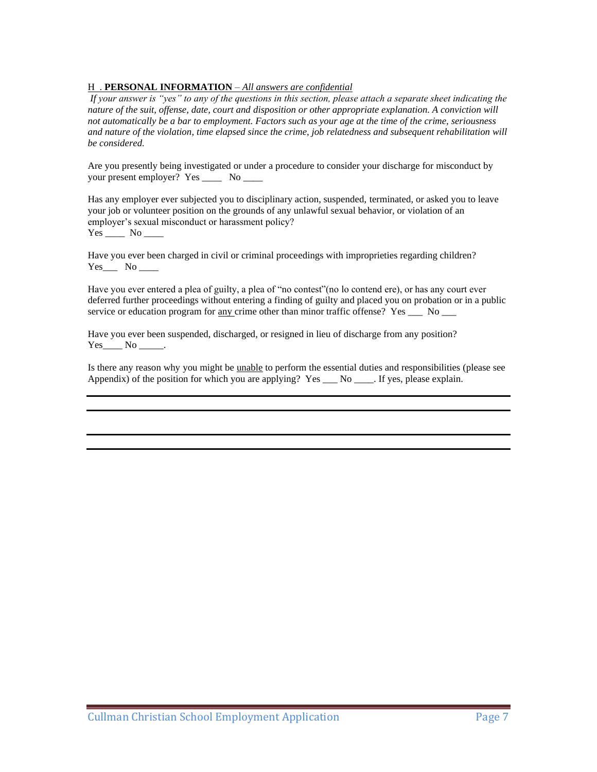# H . **PERSONAL INFORMATION** – *All answers are confidential*

*If your answer is "yes" to any of the questions in this section, please attach a separate sheet indicating the nature of the suit, offense, date, court and disposition or other appropriate explanation. A conviction will not automatically be a bar to employment. Factors such as your age at the time of the crime, seriousness and nature of the violation, time elapsed since the crime, job relatedness and subsequent rehabilitation will be considered.*

Are you presently being investigated or under a procedure to consider your discharge for misconduct by your present employer? Yes \_\_\_\_ No \_\_\_\_

Has any employer ever subjected you to disciplinary action, suspended, terminated, or asked you to leave your job or volunteer position on the grounds of any unlawful sexual behavior, or violation of an employer's sexual misconduct or harassment policy? Yes \_\_\_\_ No \_\_\_\_

Have you ever been charged in civil or criminal proceedings with improprieties regarding children?  $Yes$  No \_\_\_\_\_\_\_

Have you ever entered a plea of guilty, a plea of "no contest"(no lo contend ere), or has any court ever deferred further proceedings without entering a finding of guilty and placed you on probation or in a public service or education program for  $\frac{any}{cd}$  crime other than minor traffic offense? Yes \_\_\_ No \_\_\_

Have you ever been suspended, discharged, or resigned in lieu of discharge from any position?  $Yes$  No \_\_\_\_\_.

Is there any reason why you might be unable to perform the essential duties and responsibilities (please see Appendix) of the position for which you are applying? Yes  $\_\_\_\_\_\_\_\_\_\$ If yes, please explain.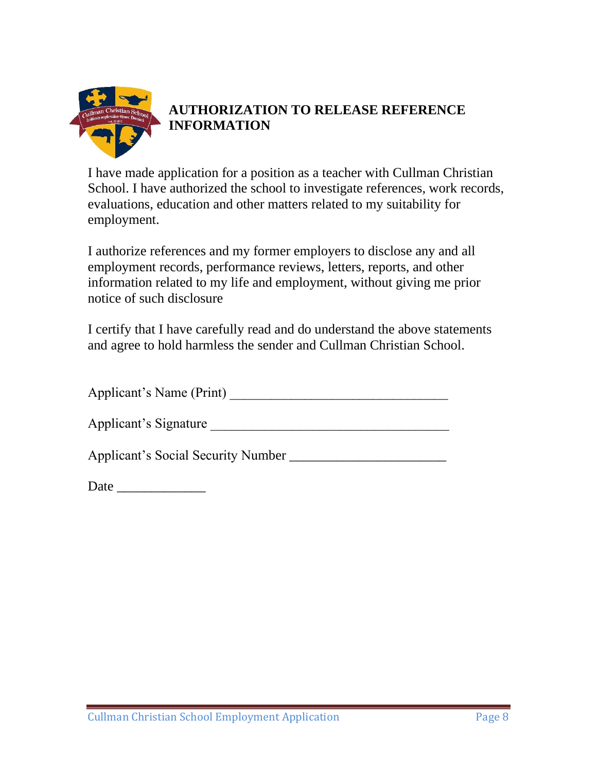

# **AUTHORIZATION TO RELEASE REFERENCE INFORMATION**

I have made application for a position as a teacher with Cullman Christian School. I have authorized the school to investigate references, work records, evaluations, education and other matters related to my suitability for employment.

I authorize references and my former employers to disclose any and all employment records, performance reviews, letters, reports, and other information related to my life and employment, without giving me prior notice of such disclosure

I certify that I have carefully read and do understand the above statements and agree to hold harmless the sender and Cullman Christian School.

Applicant's Name (Print) \_\_\_\_\_\_\_\_\_\_\_\_\_\_\_\_\_\_\_\_\_\_\_\_\_\_\_\_\_\_\_\_

Applicant's Signature

Applicant's Social Security Number \_\_\_\_\_\_\_\_\_\_\_\_\_\_\_\_\_\_\_\_\_\_\_

Date \_\_\_\_\_\_\_\_\_\_\_\_\_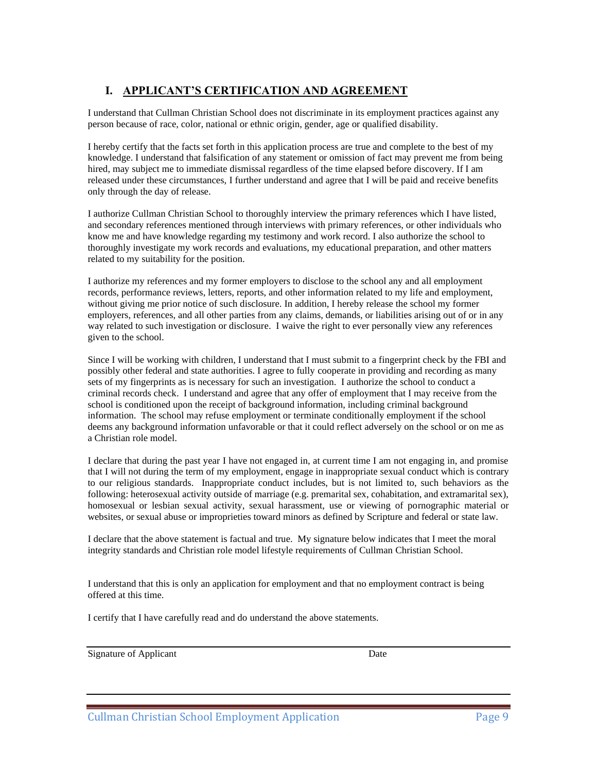# **I. APPLICANT'S CERTIFICATION AND AGREEMENT**

I understand that Cullman Christian School does not discriminate in its employment practices against any person because of race, color, national or ethnic origin, gender, age or qualified disability.

I hereby certify that the facts set forth in this application process are true and complete to the best of my knowledge. I understand that falsification of any statement or omission of fact may prevent me from being hired, may subject me to immediate dismissal regardless of the time elapsed before discovery. If I am released under these circumstances, I further understand and agree that I will be paid and receive benefits only through the day of release.

I authorize Cullman Christian School to thoroughly interview the primary references which I have listed, and secondary references mentioned through interviews with primary references, or other individuals who know me and have knowledge regarding my testimony and work record. I also authorize the school to thoroughly investigate my work records and evaluations, my educational preparation, and other matters related to my suitability for the position.

I authorize my references and my former employers to disclose to the school any and all employment records, performance reviews, letters, reports, and other information related to my life and employment, without giving me prior notice of such disclosure. In addition, I hereby release the school my former employers, references, and all other parties from any claims, demands, or liabilities arising out of or in any way related to such investigation or disclosure. I waive the right to ever personally view any references given to the school.

Since I will be working with children, I understand that I must submit to a fingerprint check by the FBI and possibly other federal and state authorities. I agree to fully cooperate in providing and recording as many sets of my fingerprints as is necessary for such an investigation. I authorize the school to conduct a criminal records check. I understand and agree that any offer of employment that I may receive from the school is conditioned upon the receipt of background information, including criminal background information. The school may refuse employment or terminate conditionally employment if the school deems any background information unfavorable or that it could reflect adversely on the school or on me as a Christian role model.

I declare that during the past year I have not engaged in, at current time I am not engaging in, and promise that I will not during the term of my employment, engage in inappropriate sexual conduct which is contrary to our religious standards. Inappropriate conduct includes, but is not limited to, such behaviors as the following: heterosexual activity outside of marriage (e.g. premarital sex, cohabitation, and extramarital sex), homosexual or lesbian sexual activity, sexual harassment, use or viewing of pornographic material or websites, or sexual abuse or improprieties toward minors as defined by Scripture and federal or state law.

I declare that the above statement is factual and true. My signature below indicates that I meet the moral integrity standards and Christian role model lifestyle requirements of Cullman Christian School.

I understand that this is only an application for employment and that no employment contract is being offered at this time.

I certify that I have carefully read and do understand the above statements.

Signature of Applicant Date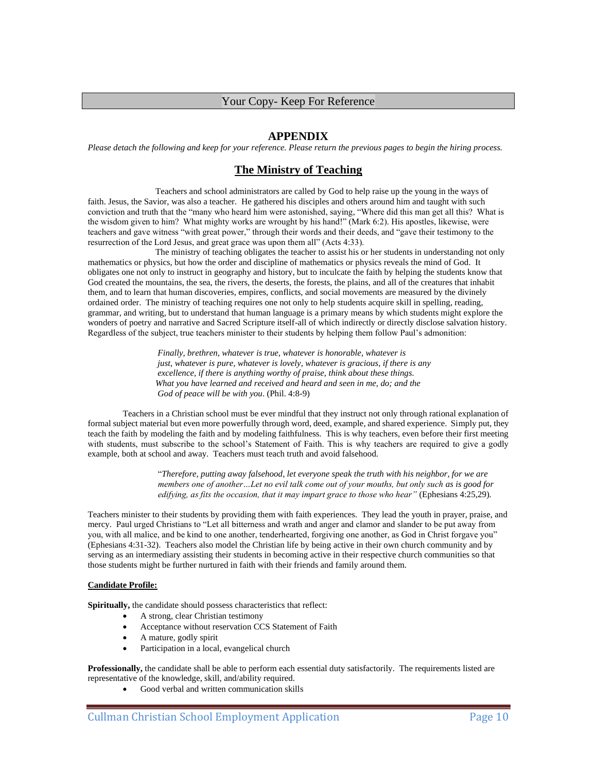## Your Copy- Keep For Reference

## **APPENDIX**

*Please detach the following and keep for your reference. Please return the previous pages to begin the hiring process.*

# **The Ministry of Teaching**

Teachers and school administrators are called by God to help raise up the young in the ways of faith. Jesus, the Savior, was also a teacher. He gathered his disciples and others around him and taught with such conviction and truth that the "many who heard him were astonished, saying, "Where did this man get all this? What is the wisdom given to him? What mighty works are wrought by his hand!" (Mark 6:2). His apostles, likewise, were teachers and gave witness "with great power," through their words and their deeds, and "gave their testimony to the resurrection of the Lord Jesus, and great grace was upon them all" (Acts 4:33).

The ministry of teaching obligates the teacher to assist his or her students in understanding not only mathematics or physics, but how the order and discipline of mathematics or physics reveals the mind of God. It obligates one not only to instruct in geography and history, but to inculcate the faith by helping the students know that God created the mountains, the sea, the rivers, the deserts, the forests, the plains, and all of the creatures that inhabit them, and to learn that human discoveries, empires, conflicts, and social movements are measured by the divinely ordained order. The ministry of teaching requires one not only to help students acquire skill in spelling, reading, grammar, and writing, but to understand that human language is a primary means by which students might explore the wonders of poetry and narrative and Sacred Scripture itself-all of which indirectly or directly disclose salvation history. Regardless of the subject, true teachers minister to their students by helping them follow Paul's admonition:

> *Finally, brethren, whatever is true, whatever is honorable, whatever is just, whatever is pure, whatever is lovely, whatever is gracious, if there is any excellence, if there is anything worthy of praise, think about these things. What you have learned and received and heard and seen in me, do; and the God of peace will be with you*. (Phil. 4:8-9)

Teachers in a Christian school must be ever mindful that they instruct not only through rational explanation of formal subject material but even more powerfully through word, deed, example, and shared experience. Simply put, they teach the faith by modeling the faith and by modeling faithfulness. This is why teachers, even before their first meeting with students, must subscribe to the school's Statement of Faith. This is why teachers are required to give a godly example, both at school and away. Teachers must teach truth and avoid falsehood.

> "*Therefore, putting away falsehood, let everyone speak the truth with his neighbor, for we are members one of another…Let no evil talk come out of your mouths, but only such as is good for edifying, as fits the occasion, that it may impart grace to those who hear"* (Ephesians 4:25,29).

Teachers minister to their students by providing them with faith experiences. They lead the youth in prayer, praise, and mercy. Paul urged Christians to "Let all bitterness and wrath and anger and clamor and slander to be put away from you, with all malice, and be kind to one another, tenderhearted, forgiving one another, as God in Christ forgave you" (Ephesians 4:31-32). Teachers also model the Christian life by being active in their own church community and by serving as an intermediary assisting their students in becoming active in their respective church communities so that those students might be further nurtured in faith with their friends and family around them.

#### **Candidate Profile:**

**Spiritually,** the candidate should possess characteristics that reflect:

- A strong, clear Christian testimony
- Acceptance without reservation CCS Statement of Faith
- A mature, godly spirit
- Participation in a local, evangelical church

**Professionally,** the candidate shall be able to perform each essential duty satisfactorily. The requirements listed are representative of the knowledge, skill, and/ability required.

• Good verbal and written communication skills